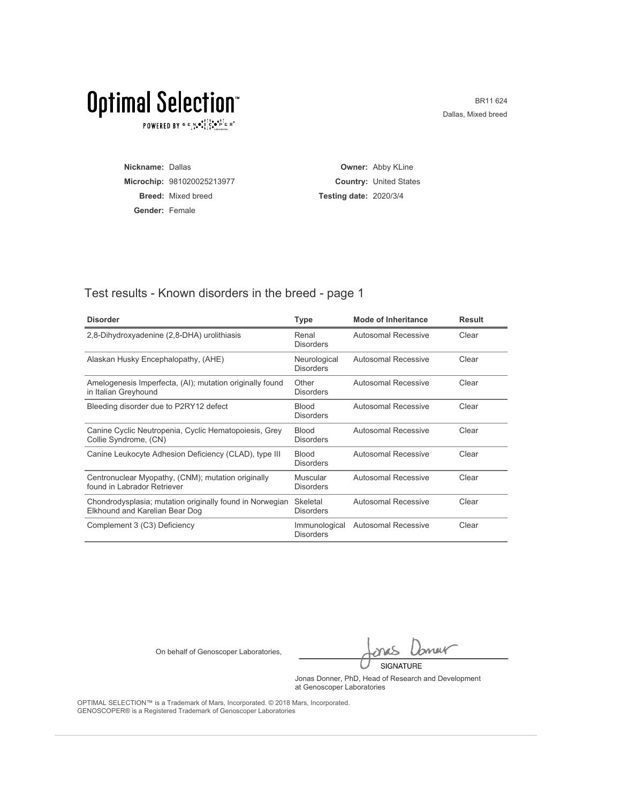$\texttt{POWERED BY} \overset{\text{G}}{=} \mathbb{E}_{\texttt{1}}\overset{\text{N}}{\texttt{4}} \overset{\text{G}}{\texttt{6}} \overset{\text{F}}{\texttt{1}} \overset{\text{I}}{\texttt{6}} \overset{\text{G}}{\texttt{6}} \overset{\text{F}}{\texttt{1}} \overset{\text{I}}{\texttt{1}} \overset{\text{F}}{\texttt{6}}} \mathbb{R}^\circ$ 

BR11 624 Dallas, Mixed breed

| Nickname: Dallas      |                            |                               | <b>Owner: Abby KLine</b>      |
|-----------------------|----------------------------|-------------------------------|-------------------------------|
|                       | Microchip: 981020025213977 |                               | <b>Country: United States</b> |
|                       | <b>Breed:</b> Mixed breed  | <b>Testing date: 2020/3/4</b> |                               |
| <b>Gender: Female</b> |                            |                               |                               |

#### Test results - Known disorders in the breed - page 1

| <b>Disorder</b>                                                                            | Type                              | <b>Mode of Inheritance</b> | <b>Result</b> |
|--------------------------------------------------------------------------------------------|-----------------------------------|----------------------------|---------------|
| 2,8-Dihydroxyadenine (2,8-DHA) urolithiasis                                                | Renal<br><b>Disorders</b>         | <b>Autosomal Recessive</b> | Clear         |
| Alaskan Husky Encephalopathy, (AHE)                                                        | Neurological<br><b>Disorders</b>  | <b>Autosomal Recessive</b> | Clear         |
| Amelogenesis Imperfecta, (AI); mutation originally found<br>in Italian Greyhound           | Other<br><b>Disorders</b>         | Autosomal Recessive        | Clear         |
| Bleeding disorder due to P2RY12 defect                                                     | <b>Blood</b><br><b>Disorders</b>  | Autosomal Recessive        | Clear         |
| Canine Cyclic Neutropenia, Cyclic Hematopoiesis, Grey<br>Collie Syndrome, (CN)             | <b>Blood</b><br><b>Disorders</b>  | Autosomal Recessive        | Clear         |
| Canine Leukocyte Adhesion Deficiency (CLAD), type III                                      | <b>Blood</b><br><b>Disorders</b>  | Autosomal Recessive        | Clear         |
| Centronuclear Myopathy, (CNM); mutation originally<br>found in Labrador Retriever          | Muscular<br><b>Disorders</b>      | Autosomal Recessive        | Clear         |
| Chondrodysplasia; mutation originally found in Norwegian<br>Elkhound and Karelian Bear Dog | Skeletal<br><b>Disorders</b>      | Autosomal Recessive        | Clear         |
| Complement 3 (C3) Deficiency                                                               | Immunological<br><b>Disorders</b> | <b>Autosomal Recessive</b> | Clear         |

On behalf of Genoscoper Laboratories,

bnew SIGNATURE

Jonas Donner, PhD, Head of Research and Development at Genoscoper Laboratories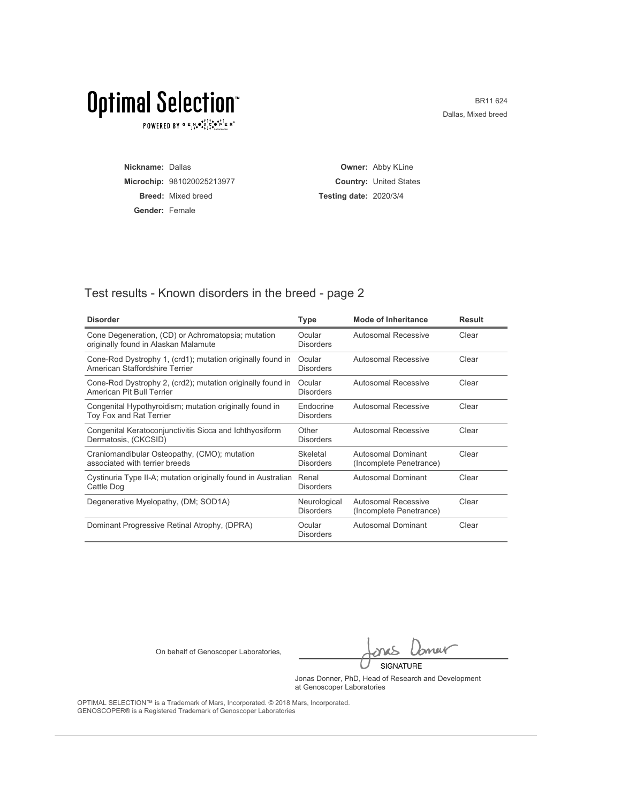$\texttt{POWERED BY} \overset{\text{G}}{=} \mathbb{E}_{\texttt{1}}\overset{\text{N}}{\texttt{4}} \overset{\text{G}}{\texttt{6}} \overset{\text{F}}{\texttt{1}} \overset{\text{I}}{\texttt{6}} \overset{\text{G}}{\texttt{6}} \overset{\text{F}}{\texttt{1}} \overset{\text{I}}{\texttt{1}} \overset{\text{F}}{\texttt{6}}} \mathbb{R}^\circ$ 

BR11 624 Dallas, Mixed breed

| Nickname: Dallas      |                            |                               | <b>Owner: Abby KLine</b>      |
|-----------------------|----------------------------|-------------------------------|-------------------------------|
|                       | Microchip: 981020025213977 |                               | <b>Country: United States</b> |
|                       | <b>Breed:</b> Mixed breed  | <b>Testing date: 2020/3/4</b> |                               |
| <b>Gender: Female</b> |                            |                               |                               |

#### Test results - Known disorders in the breed - page 2

| <b>Disorder</b>                                                                              | <b>Type</b>                      | Mode of Inheritance                                   | <b>Result</b> |
|----------------------------------------------------------------------------------------------|----------------------------------|-------------------------------------------------------|---------------|
| Cone Degeneration, (CD) or Achromatopsia; mutation<br>originally found in Alaskan Malamute   | Ocular<br><b>Disorders</b>       | <b>Autosomal Recessive</b>                            | Clear         |
| Cone-Rod Dystrophy 1, (crd1); mutation originally found in<br>American Staffordshire Terrier | Ocular<br>Disorders              | <b>Autosomal Recessive</b>                            | Clear         |
| Cone-Rod Dystrophy 2, (crd2); mutation originally found in<br>American Pit Bull Terrier      | Ocular<br><b>Disorders</b>       | <b>Autosomal Recessive</b>                            | Clear         |
| Congenital Hypothyroidism; mutation originally found in<br>Toy Fox and Rat Terrier           | Endocrine<br><b>Disorders</b>    | Autosomal Recessive                                   | Clear         |
| Congenital Keratoconjunctivitis Sicca and Ichthyosiform<br>Dermatosis, (CKCSID)              | Other<br><b>Disorders</b>        | Autosomal Recessive                                   | Clear         |
| Craniomandibular Osteopathy, (CMO); mutation<br>associated with terrier breeds               | Skeletal<br>Disorders            | Autosomal Dominant<br>(Incomplete Penetrance)         | Clear         |
| Cystinuria Type II-A; mutation originally found in Australian<br>Cattle Dog                  | Renal<br><b>Disorders</b>        | Autosomal Dominant                                    | Clear         |
| Degenerative Myelopathy, (DM; SOD1A)                                                         | Neurological<br><b>Disorders</b> | <b>Autosomal Recessive</b><br>(Incomplete Penetrance) | Clear         |
| Dominant Progressive Retinal Atrophy, (DPRA)                                                 | Ocular<br><b>Disorders</b>       | Autosomal Dominant                                    | Clear         |

On behalf of Genoscoper Laboratories,

bnew SIGNATURE

Jonas Donner, PhD, Head of Research and Development at Genoscoper Laboratories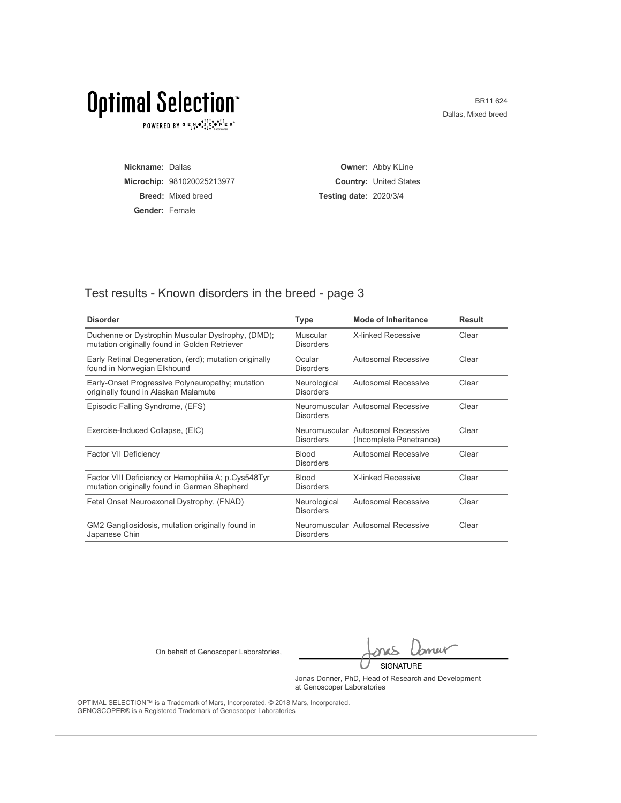$\texttt{POWERED BY} \overset{\text{G}}{=} \mathbb{E}_{\texttt{1}}\overset{\text{N}}{\texttt{4}} \overset{\text{G}}{\texttt{6}} \overset{\text{F}}{\texttt{1}} \overset{\text{I}}{\texttt{6}} \overset{\text{G}}{\texttt{6}} \overset{\text{F}}{\texttt{1}} \overset{\text{I}}{\texttt{1}} \overset{\text{F}}{\texttt{6}}} \mathbb{R}^\circ$ 

BR11 624 Dallas, Mixed breed

| Nickname: Dallas      |                            |                               | <b>Owner: Abby KLine</b>      |
|-----------------------|----------------------------|-------------------------------|-------------------------------|
|                       | Microchip: 981020025213977 |                               | <b>Country: United States</b> |
|                       | <b>Breed:</b> Mixed breed  | <b>Testing date: 2020/3/4</b> |                               |
| <b>Gender: Female</b> |                            |                               |                               |

#### Test results - Known disorders in the breed - page 3

| <b>Disorder</b>                                                                                     | <b>Type</b>                      | Mode of Inheritance                                          | <b>Result</b> |
|-----------------------------------------------------------------------------------------------------|----------------------------------|--------------------------------------------------------------|---------------|
| Duchenne or Dystrophin Muscular Dystrophy, (DMD);<br>mutation originally found in Golden Retriever  | Muscular<br><b>Disorders</b>     | <b>X-linked Recessive</b>                                    | Clear         |
| Early Retinal Degeneration, (erd); mutation originally<br>found in Norwegian Elkhound               | Ocular<br><b>Disorders</b>       | Autosomal Recessive                                          | Clear         |
| Early-Onset Progressive Polyneuropathy; mutation<br>originally found in Alaskan Malamute            | Neurological<br><b>Disorders</b> | <b>Autosomal Recessive</b>                                   | Clear         |
| Episodic Falling Syndrome, (EFS)                                                                    | <b>Disorders</b>                 | Neuromuscular Autosomal Recessive                            | Clear         |
| Exercise-Induced Collapse, (EIC)                                                                    | <b>Disorders</b>                 | Neuromuscular Autosomal Recessive<br>(Incomplete Penetrance) | Clear         |
| <b>Factor VII Deficiency</b>                                                                        | <b>Blood</b><br><b>Disorders</b> | <b>Autosomal Recessive</b>                                   | Clear         |
| Factor VIII Deficiency or Hemophilia A; p.Cys548Tyr<br>mutation originally found in German Shepherd | <b>Blood</b><br><b>Disorders</b> | <b>X-linked Recessive</b>                                    | Clear         |
| Fetal Onset Neuroaxonal Dystrophy, (FNAD)                                                           | Neurological<br><b>Disorders</b> | Autosomal Recessive                                          | Clear         |
| GM2 Gangliosidosis, mutation originally found in<br>Japanese Chin                                   | <b>Disorders</b>                 | Neuromuscular Autosomal Recessive                            | Clear         |

On behalf of Genoscoper Laboratories,

bnew SIGNATURE

Jonas Donner, PhD, Head of Research and Development at Genoscoper Laboratories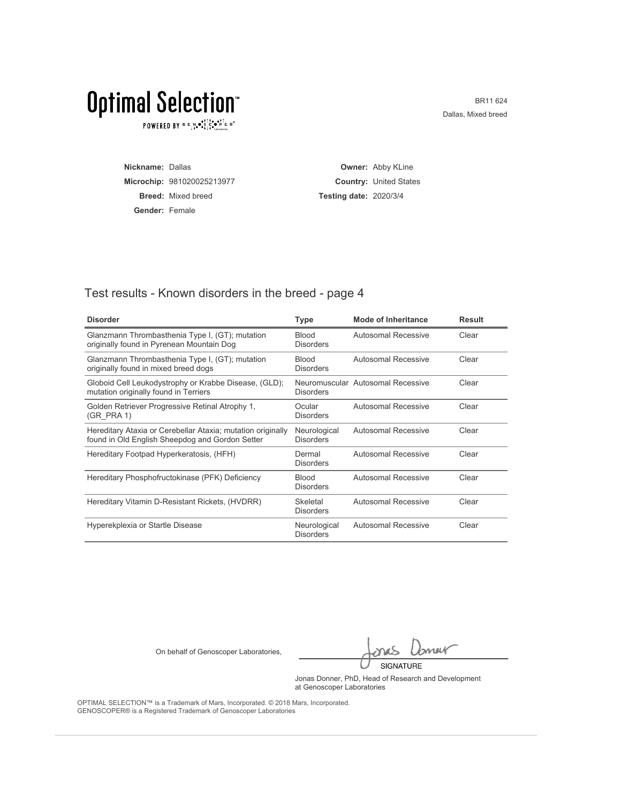$\texttt{POWERED BY} \overset{\text{G}}{=} \mathbb{E}_{\texttt{1}}\overset{\text{N}}{\texttt{4}} \overset{\text{G}}{\texttt{6}} \overset{\text{F}}{\texttt{1}} \overset{\text{I}}{\texttt{6}} \overset{\text{G}}{\texttt{6}} \overset{\text{F}}{\texttt{1}} \overset{\text{I}}{\texttt{1}} \overset{\text{F}}{\texttt{6}}} \mathbb{R}^\circ$ 

BR11 624 Dallas, Mixed breed

| Nickname: Dallas      |                            |                               | <b>Owner: Abby KLine</b>      |
|-----------------------|----------------------------|-------------------------------|-------------------------------|
|                       | Microchip: 981020025213977 |                               | <b>Country: United States</b> |
|                       | <b>Breed:</b> Mixed breed  | <b>Testing date: 2020/3/4</b> |                               |
| <b>Gender: Female</b> |                            |                               |                               |

#### Test results - Known disorders in the breed - page 4

| <b>Disorder</b>                                                                                                | <b>Type</b>                      | Mode of Inheritance               | <b>Result</b> |
|----------------------------------------------------------------------------------------------------------------|----------------------------------|-----------------------------------|---------------|
| Glanzmann Thrombasthenia Type I, (GT); mutation<br>originally found in Pyrenean Mountain Dog                   | <b>Blood</b><br><b>Disorders</b> | Autosomal Recessive               | Clear         |
| Glanzmann Thrombasthenia Type I, (GT); mutation<br>originally found in mixed breed dogs                        | <b>Blood</b><br><b>Disorders</b> | Autosomal Recessive               | Clear         |
| Globoid Cell Leukodystrophy or Krabbe Disease, (GLD);<br>mutation originally found in Terriers                 | <b>Disorders</b>                 | Neuromuscular Autosomal Recessive | Clear         |
| Golden Retriever Progressive Retinal Atrophy 1,<br>(GR PRA 1)                                                  | Ocular<br><b>Disorders</b>       | Autosomal Recessive               | Clear         |
| Hereditary Ataxia or Cerebellar Ataxia; mutation originally<br>found in Old English Sheepdog and Gordon Setter | Neurological<br><b>Disorders</b> | Autosomal Recessive               | Clear         |
| Hereditary Footpad Hyperkeratosis, (HFH)                                                                       | Dermal<br><b>Disorders</b>       | Autosomal Recessive               | Clear         |
| Hereditary Phosphofructokinase (PFK) Deficiency                                                                | <b>Blood</b><br><b>Disorders</b> | Autosomal Recessive               | Clear         |
| Hereditary Vitamin D-Resistant Rickets, (HVDRR)                                                                | Skeletal<br><b>Disorders</b>     | Autosomal Recessive               | Clear         |
| Hyperekplexia or Startle Disease                                                                               | Neurological<br><b>Disorders</b> | Autosomal Recessive               | Clear         |

On behalf of Genoscoper Laboratories,

bnew SIGNATURE

Jonas Donner, PhD, Head of Research and Development at Genoscoper Laboratories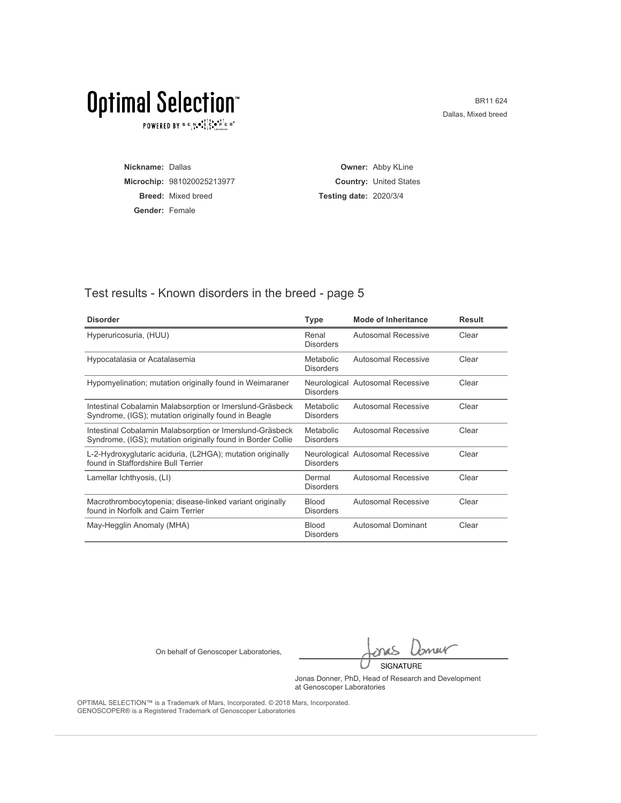$\texttt{POWERED BY} \overset{\text{G}}{=} \mathbb{E}_{\texttt{1}}\overset{\text{N}}{\texttt{4}} \overset{\text{G}}{\texttt{6}} \overset{\text{F}}{\texttt{1}} \overset{\text{I}}{\texttt{6}} \overset{\text{G}}{\texttt{6}} \overset{\text{F}}{\texttt{1}} \overset{\text{I}}{\texttt{1}} \overset{\text{F}}{\texttt{6}}} \mathbb{R}^\circ$ 

BR11 624 Dallas, Mixed breed

| Nickname: Dallas      |                            |                               | <b>Owner: Abby KLine</b>      |
|-----------------------|----------------------------|-------------------------------|-------------------------------|
|                       | Microchip: 981020025213977 |                               | <b>Country: United States</b> |
|                       | <b>Breed:</b> Mixed breed  | <b>Testing date: 2020/3/4</b> |                               |
| <b>Gender: Female</b> |                            |                               |                               |

#### Test results - Known disorders in the breed - page 5

| <b>Disorder</b>                                                                                                         | Type                             | Mode of Inheritance              | <b>Result</b> |
|-------------------------------------------------------------------------------------------------------------------------|----------------------------------|----------------------------------|---------------|
| Hyperuricosuria, (HUU)                                                                                                  | Renal<br><b>Disorders</b>        | <b>Autosomal Recessive</b>       | Clear         |
| Hypocatalasia or Acatalasemia                                                                                           | Metabolic<br><b>Disorders</b>    | Autosomal Recessive              | Clear         |
| Hypomyelination; mutation originally found in Weimaraner                                                                | <b>Disorders</b>                 | Neurological Autosomal Recessive | Clear         |
| Intestinal Cobalamin Malabsorption or Imerslund-Gräsbeck<br>Syndrome, (IGS); mutation originally found in Beagle        | Metabolic<br><b>Disorders</b>    | Autosomal Recessive              | Clear         |
| Intestinal Cobalamin Malabsorption or Imerslund-Gräsbeck<br>Syndrome, (IGS); mutation originally found in Border Collie | Metabolic<br><b>Disorders</b>    | Autosomal Recessive              | Clear         |
| L-2-Hydroxyglutaric aciduria, (L2HGA); mutation originally<br>found in Staffordshire Bull Terrier                       | <b>Disorders</b>                 | Neurological Autosomal Recessive | Clear         |
| Lamellar Ichthyosis, (LI)                                                                                               | Dermal<br><b>Disorders</b>       | Autosomal Recessive              | Clear         |
| Macrothrombocytopenia; disease-linked variant originally<br>found in Norfolk and Cairn Terrier                          | <b>Blood</b><br><b>Disorders</b> | Autosomal Recessive              | Clear         |
| May-Hegglin Anomaly (MHA)                                                                                               | <b>Blood</b><br><b>Disorders</b> | Autosomal Dominant               | Clear         |

On behalf of Genoscoper Laboratories,

bnew SIGNATURE

Jonas Donner, PhD, Head of Research and Development at Genoscoper Laboratories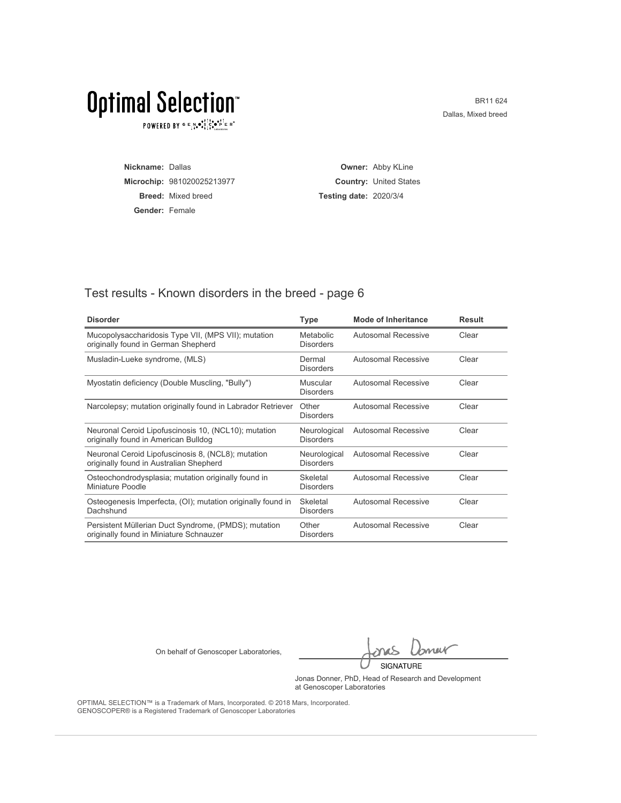$\texttt{POWERED BY} \overset{\text{G}}{=} \mathbb{E}_{\texttt{1}}\overset{\text{N}}{\texttt{4}} \overset{\text{G}}{\texttt{6}} \overset{\text{F}}{\texttt{1}} \overset{\text{I}}{\texttt{6}} \overset{\text{G}}{\texttt{6}} \overset{\text{F}}{\texttt{1}} \overset{\text{I}}{\texttt{1}} \overset{\text{F}}{\texttt{6}}} \mathbb{R}^\circ$ 

BR11 624 Dallas, Mixed breed

| Nickname: Dallas |                            |                               | <b>Owner: Abby KLine</b>      |
|------------------|----------------------------|-------------------------------|-------------------------------|
|                  | Microchip: 981020025213977 |                               | <b>Country: United States</b> |
|                  | <b>Breed:</b> Mixed breed  | <b>Testing date: 2020/3/4</b> |                               |
| Gender: Female   |                            |                               |                               |

#### Test results - Known disorders in the breed - page 6

| <b>Disorder</b>                                                                                 | <b>Type</b>                      | <b>Mode of Inheritance</b> | <b>Result</b> |
|-------------------------------------------------------------------------------------------------|----------------------------------|----------------------------|---------------|
| Mucopolysaccharidosis Type VII, (MPS VII); mutation<br>originally found in German Shepherd      | Metabolic<br><b>Disorders</b>    | <b>Autosomal Recessive</b> | Clear         |
| Musladin-Lueke syndrome, (MLS)                                                                  | Dermal<br><b>Disorders</b>       | <b>Autosomal Recessive</b> | Clear         |
| Myostatin deficiency (Double Muscling, "Bully")                                                 | Muscular<br><b>Disorders</b>     | Autosomal Recessive        | Clear         |
| Narcolepsy; mutation originally found in Labrador Retriever                                     | Other<br><b>Disorders</b>        | Autosomal Recessive        | Clear         |
| Neuronal Ceroid Lipofuscinosis 10, (NCL10); mutation<br>originally found in American Bulldog    | Neurological<br><b>Disorders</b> | Autosomal Recessive        | Clear         |
| Neuronal Ceroid Lipofuscinosis 8, (NCL8); mutation<br>originally found in Australian Shepherd   | Neurological<br><b>Disorders</b> | Autosomal Recessive        | Clear         |
| Osteochondrodysplasia; mutation originally found in<br>Miniature Poodle                         | Skeletal<br><b>Disorders</b>     | Autosomal Recessive        | Clear         |
| Osteogenesis Imperfecta, (OI); mutation originally found in<br>Dachshund                        | Skeletal<br><b>Disorders</b>     | Autosomal Recessive        | Clear         |
| Persistent Müllerian Duct Syndrome, (PMDS); mutation<br>originally found in Miniature Schnauzer | Other<br><b>Disorders</b>        | Autosomal Recessive        | Clear         |

On behalf of Genoscoper Laboratories,

bnew SIGNATURE

Jonas Donner, PhD, Head of Research and Development at Genoscoper Laboratories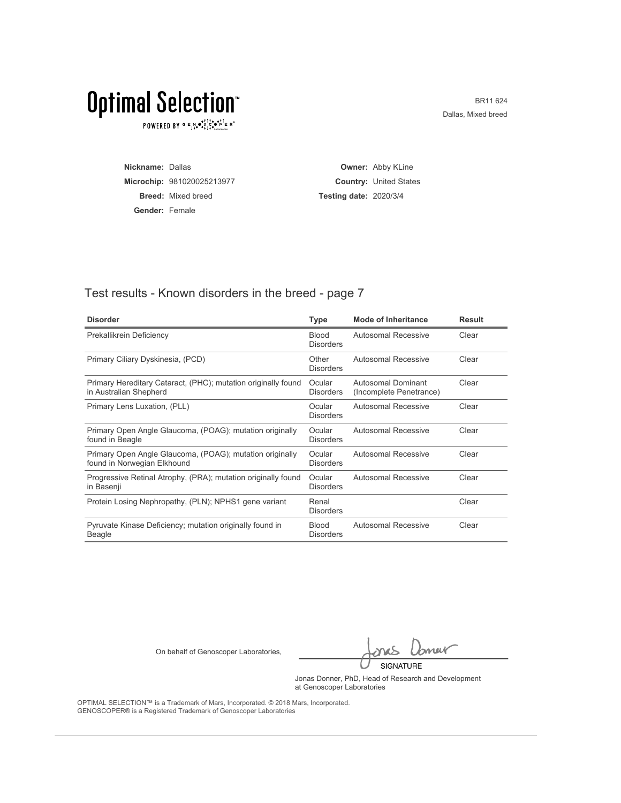$\texttt{POWERED BY} \overset{\text{G}}{=} \mathbb{E}_{\texttt{1}}\overset{\text{N}}{\texttt{4}} \overset{\text{G}}{\texttt{6}} \overset{\text{F}}{\texttt{1}} \overset{\text{I}}{\texttt{6}} \overset{\text{G}}{\texttt{6}} \overset{\text{F}}{\texttt{1}} \overset{\text{I}}{\texttt{1}} \overset{\text{F}}{\texttt{6}}} \mathbb{R}^\circ$ 

BR11 624 Dallas, Mixed breed

| Nickname: Dallas |                            |                               | <b>Owner: Abby KLine</b>      |
|------------------|----------------------------|-------------------------------|-------------------------------|
|                  | Microchip: 981020025213977 |                               | <b>Country: United States</b> |
|                  | <b>Breed:</b> Mixed breed  | <b>Testing date: 2020/3/4</b> |                               |
| Gender: Female   |                            |                               |                               |

#### Test results - Known disorders in the breed - page 7

| <b>Disorder</b>                                                                         | <b>Type</b>                      | <b>Mode of Inheritance</b>                    | <b>Result</b> |
|-----------------------------------------------------------------------------------------|----------------------------------|-----------------------------------------------|---------------|
| Prekallikrein Deficiency                                                                | <b>Blood</b><br><b>Disorders</b> | <b>Autosomal Recessive</b>                    | Clear         |
| Primary Ciliary Dyskinesia, (PCD)                                                       | Other<br><b>Disorders</b>        | Autosomal Recessive                           | Clear         |
| Primary Hereditary Cataract, (PHC); mutation originally found<br>in Australian Shepherd | Ocular<br><b>Disorders</b>       | Autosomal Dominant<br>(Incomplete Penetrance) | Clear         |
| Primary Lens Luxation, (PLL)                                                            | Ocular<br><b>Disorders</b>       | Autosomal Recessive                           | Clear         |
| Primary Open Angle Glaucoma, (POAG); mutation originally<br>found in Beagle             | Ocular<br><b>Disorders</b>       | Autosomal Recessive                           | Clear         |
| Primary Open Angle Glaucoma, (POAG); mutation originally<br>found in Norwegian Elkhound | Ocular<br><b>Disorders</b>       | Autosomal Recessive                           | Clear         |
| Progressive Retinal Atrophy, (PRA); mutation originally found<br>in Basenji             | Ocular<br><b>Disorders</b>       | Autosomal Recessive                           | Clear         |
| Protein Losing Nephropathy, (PLN); NPHS1 gene variant                                   | Renal<br><b>Disorders</b>        |                                               | Clear         |
| Pyruvate Kinase Deficiency; mutation originally found in<br>Beagle                      | <b>Blood</b><br><b>Disorders</b> | Autosomal Recessive                           | Clear         |

On behalf of Genoscoper Laboratories,

bnew SIGNATURE

Jonas Donner, PhD, Head of Research and Development at Genoscoper Laboratories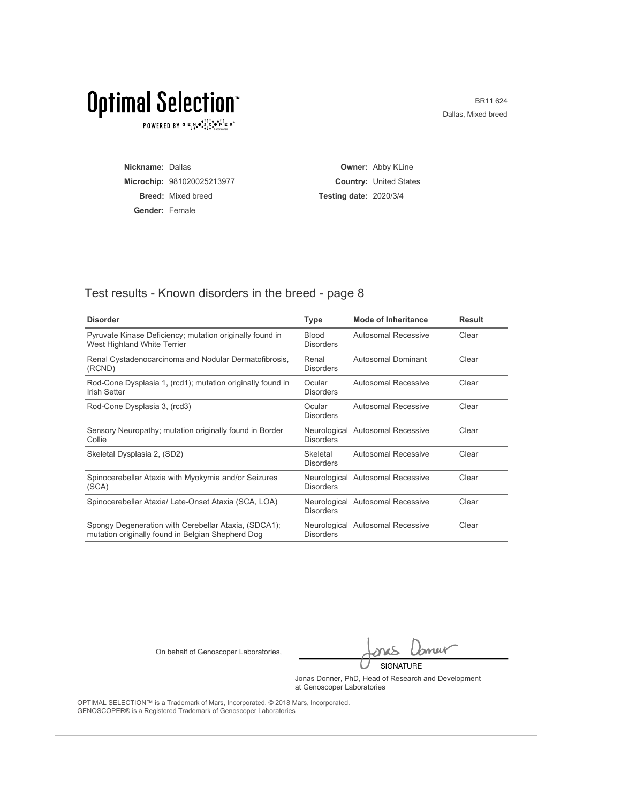$\texttt{POWERED BY} \overset{\text{G}}{=} \mathbb{E}_{\texttt{1}}\overset{\text{N}}{\texttt{4}} \overset{\text{G}}{\texttt{6}} \overset{\text{F}}{\texttt{1}} \overset{\text{I}}{\texttt{6}} \overset{\text{G}}{\texttt{6}} \overset{\text{F}}{\texttt{1}} \overset{\text{I}}{\texttt{1}} \overset{\text{F}}{\texttt{6}}} \mathbb{R}^\circ$ 

BR11 624 Dallas, Mixed breed

| Nickname: Dallas |                            |                               | <b>Owner: Abby KLine</b>      |
|------------------|----------------------------|-------------------------------|-------------------------------|
|                  | Microchip: 981020025213977 |                               | <b>Country: United States</b> |
|                  | <b>Breed:</b> Mixed breed  | <b>Testing date: 2020/3/4</b> |                               |
| Gender: Female   |                            |                               |                               |

#### Test results - Known disorders in the breed - page 8

| <b>Disorder</b>                                                                                           | Type                             | <b>Mode of Inheritance</b>       | <b>Result</b> |
|-----------------------------------------------------------------------------------------------------------|----------------------------------|----------------------------------|---------------|
| Pyruvate Kinase Deficiency; mutation originally found in<br>West Highland White Terrier                   | <b>Blood</b><br><b>Disorders</b> | Autosomal Recessive              | Clear         |
| Renal Cystadenocarcinoma and Nodular Dermatofibrosis,<br>(RCND)                                           | Renal<br><b>Disorders</b>        | Autosomal Dominant               | Clear         |
| Rod-Cone Dysplasia 1, (rcd1); mutation originally found in<br>Irish Setter                                | Ocular<br><b>Disorders</b>       | Autosomal Recessive              | Clear         |
| Rod-Cone Dysplasia 3, (rcd3)                                                                              | Ocular<br><b>Disorders</b>       | Autosomal Recessive              | Clear         |
| Sensory Neuropathy; mutation originally found in Border<br>Collie                                         | <b>Disorders</b>                 | Neurological Autosomal Recessive | Clear         |
| Skeletal Dysplasia 2, (SD2)                                                                               | Skeletal<br><b>Disorders</b>     | Autosomal Recessive              | Clear         |
| Spinocerebellar Ataxia with Myokymia and/or Seizures<br>(SCA)                                             | <b>Disorders</b>                 | Neurological Autosomal Recessive | Clear         |
| Spinocerebellar Ataxia/ Late-Onset Ataxia (SCA, LOA)                                                      | <b>Disorders</b>                 | Neurological Autosomal Recessive | Clear         |
| Spongy Degeneration with Cerebellar Ataxia, (SDCA1);<br>mutation originally found in Belgian Shepherd Dog | <b>Disorders</b>                 | Neurological Autosomal Recessive | Clear         |

On behalf of Genoscoper Laboratories,

bnew SIGNATURE

Jonas Donner, PhD, Head of Research and Development at Genoscoper Laboratories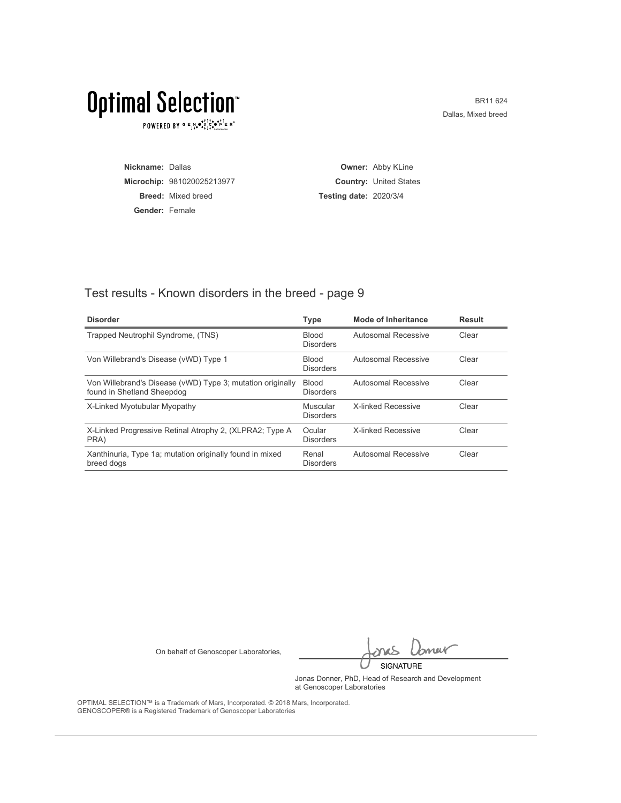$\texttt{POWERED BY} \overset{\text{G}}{=} \mathbb{E}_{\texttt{1}}\overset{\text{N}}{\texttt{4}} \overset{\text{G}}{\texttt{6}} \overset{\text{F}}{\texttt{1}} \overset{\text{I}}{\texttt{6}} \overset{\text{G}}{\texttt{6}} \overset{\text{F}}{\texttt{1}} \overset{\text{I}}{\texttt{1}} \overset{\text{F}}{\texttt{6}}} \mathbb{R}^\circ$ 

BR11 624 Dallas, Mixed breed

| Nickname: Dallas |                            |                               | <b>Owner: Abby KLine</b>      |
|------------------|----------------------------|-------------------------------|-------------------------------|
|                  | Microchip: 981020025213977 |                               | <b>Country: United States</b> |
|                  | <b>Breed:</b> Mixed breed  | <b>Testing date: 2020/3/4</b> |                               |
| Gender: Female   |                            |                               |                               |

#### Test results - Known disorders in the breed - page 9

| <b>Disorder</b>                                                                          | <b>Type</b>                      | Mode of Inheritance | <b>Result</b> |
|------------------------------------------------------------------------------------------|----------------------------------|---------------------|---------------|
| Trapped Neutrophil Syndrome, (TNS)                                                       | <b>Blood</b><br><b>Disorders</b> | Autosomal Recessive | Clear         |
| Von Willebrand's Disease (vWD) Type 1                                                    | Blood<br><b>Disorders</b>        | Autosomal Recessive | Clear         |
| Von Willebrand's Disease (vWD) Type 3; mutation originally<br>found in Shetland Sheepdog | Blood<br><b>Disorders</b>        | Autosomal Recessive | Clear         |
| X-Linked Myotubular Myopathy                                                             | Muscular<br><b>Disorders</b>     | X-linked Recessive  | Clear         |
| X-Linked Progressive Retinal Atrophy 2, (XLPRA2; Type A<br>PRA)                          | Ocular<br><b>Disorders</b>       | X-linked Recessive  | Clear         |
| Xanthinuria, Type 1a; mutation originally found in mixed<br>breed dogs                   | Renal<br><b>Disorders</b>        | Autosomal Recessive | Clear         |

On behalf of Genoscoper Laboratories,

bnew SIGNATURE

Jonas Donner, PhD, Head of Research and Development at Genoscoper Laboratories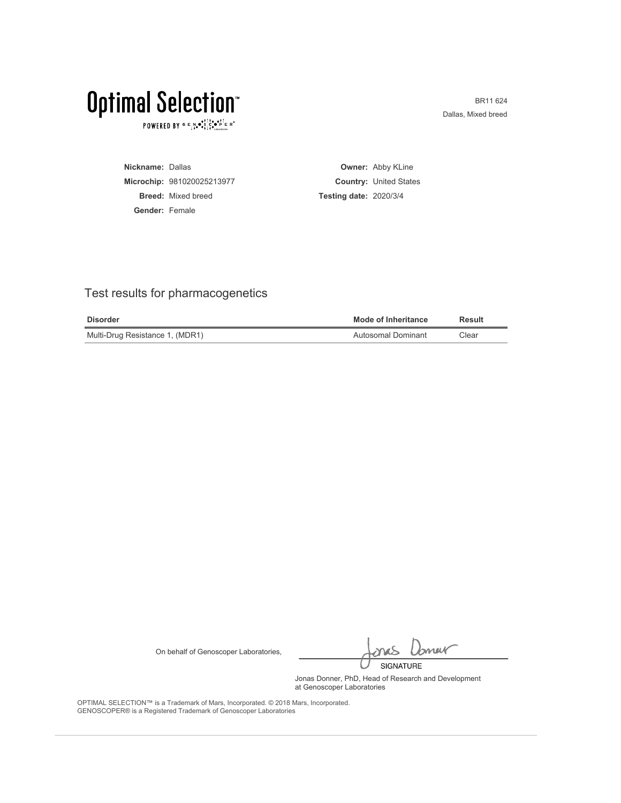$\texttt{POWERED BY} \overset{\text{\tiny{\textsf{GP}}}}{=} \mathbb{E}^{\text{N}}_{\text{14}} \bullet^{\bullet\uparrow\uparrow\uparrow\bullet}_{\text{24}} \mathbb{E}^{\bullet\uparrow\uparrow\bullet}_{\text{24}} \mathbb{E}^{\circ}$ 

BR11 624 Dallas, Mixed breed

| Nickname: Dallas |                            |                               | <b>Owner: Abby KLine</b>      |
|------------------|----------------------------|-------------------------------|-------------------------------|
|                  | Microchip: 981020025213977 |                               | <b>Country: United States</b> |
|                  | <b>Breed:</b> Mixed breed  | <b>Testing date: 2020/3/4</b> |                               |
| Gender: Female   |                            |                               |                               |

#### Test results for pharmacogenetics

| <b>Disorder</b>                 | <b>Mode of Inheritance</b> | Result |
|---------------------------------|----------------------------|--------|
| Multi-Drug Resistance 1, (MDR1) | Autosomal Dominant         | Clear  |

On behalf of Genoscoper Laboratories,

bnew SIGNATURE

Jonas Donner, PhD, Head of Research and Development at Genoscoper Laboratories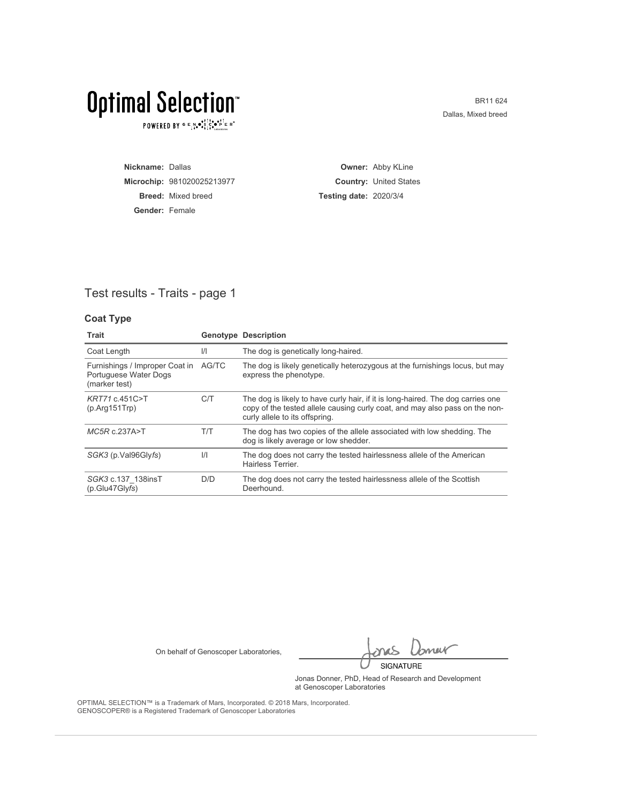$\texttt{POWERED BY} \overset{\text{\tiny{\textsf{GP}}}}{=} \mathbb{E}^{\text{N}}_{\text{14}} \bullet^{\bullet\uparrow\uparrow\uparrow\bullet}_{\text{24}} \mathbb{E}^{\bullet\uparrow\uparrow\bullet}_{\text{24}} \mathbb{E}^{\circ}$ 

BR11 624 Dallas, Mixed breed

| Nickname: Dallas      |                            |                               | <b>Owner: Abby KLine</b>      |
|-----------------------|----------------------------|-------------------------------|-------------------------------|
|                       | Microchip: 981020025213977 |                               | <b>Country: United States</b> |
|                       | <b>Breed:</b> Mixed breed  | <b>Testing date: 2020/3/4</b> |                               |
| <b>Gender: Female</b> |                            |                               |                               |

#### Test results - Traits - page 1

#### **Coat Type**

| Trait                                                                          |               | <b>Genotype Description</b>                                                                                                                                                                      |
|--------------------------------------------------------------------------------|---------------|--------------------------------------------------------------------------------------------------------------------------------------------------------------------------------------------------|
| Coat Length                                                                    | $\frac{1}{1}$ | The dog is genetically long-haired.                                                                                                                                                              |
| Furnishings / Improper Coat in AG/TC<br>Portuguese Water Dogs<br>(marker test) |               | The dog is likely genetically heterozygous at the furnishings locus, but may<br>express the phenotype.                                                                                           |
| KRT71 c.451C>T<br>(p. Arg151                                                   | C/T           | The dog is likely to have curly hair, if it is long-haired. The dog carries one<br>copy of the tested allele causing curly coat, and may also pass on the non-<br>curly allele to its offspring. |
| $MC5R$ c.237A>T                                                                | T/T           | The dog has two copies of the allele associated with low shedding. The<br>dog is likely average or low shedder.                                                                                  |
| SGK3 (p.Val96Glyfs)                                                            | $\frac{1}{1}$ | The dog does not carry the tested hairlessness allele of the American<br>Hairless Terrier.                                                                                                       |
| SGK3 c.137 138insT<br>(p.Glu47GIyfs)                                           | D/D           | The dog does not carry the tested hairlessness allele of the Scottish<br>Deerhound.                                                                                                              |

On behalf of Genoscoper Laboratories,

bnew SIGNATURE

Jonas Donner, PhD, Head of Research and Development at Genoscoper Laboratories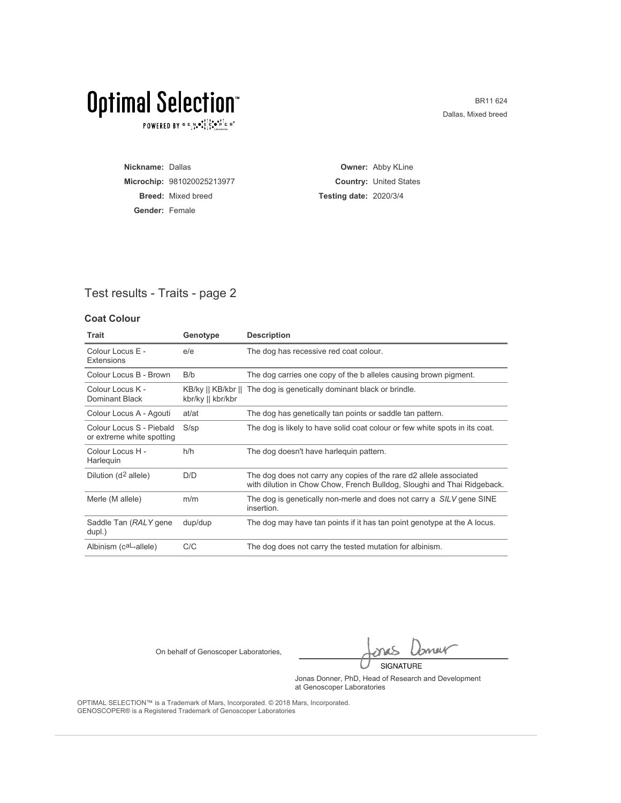$\texttt{POWERED BY} \overset{\text{\tiny{\textsf{GP}}}}{=} \mathbb{E}^{\text{N}}_{\text{14}} \bullet^{\bullet\uparrow\uparrow\uparrow\bullet}_{\text{24}} \mathbb{E}^{\bullet\uparrow\uparrow\bullet}_{\text{24}} \mathbb{E}^{\circ}$ 

BR11 624 Dallas, Mixed breed

| Nickname: Dallas      |                            |                               | <b>Owner: Abby KLine</b>      |
|-----------------------|----------------------------|-------------------------------|-------------------------------|
|                       | Microchip: 981020025213977 |                               | <b>Country: United States</b> |
|                       | <b>Breed:</b> Mixed breed  | <b>Testing date: 2020/3/4</b> |                               |
| <b>Gender: Female</b> |                            |                               |                               |

#### Test results - Traits - page 2

#### **Coat Colour**

| <b>Trait</b>                                          | Genotype          | <b>Description</b>                                                                                                                            |
|-------------------------------------------------------|-------------------|-----------------------------------------------------------------------------------------------------------------------------------------------|
| Colour Locus E -<br>Extensions                        | e/e               | The dog has recessive red coat colour.                                                                                                        |
| Colour Locus B - Brown                                | B/b               | The dog carries one copy of the b alleles causing brown pigment.                                                                              |
| Colour Locus K -<br>Dominant Black                    | kbr/ky    kbr/kbr | KB/ky    KB/kbr    The dog is genetically dominant black or brindle.                                                                          |
| Colour Locus A - Agouti                               | at/at             | The dog has genetically tan points or saddle tan pattern.                                                                                     |
| Colour Locus S - Piebald<br>or extreme white spotting | $S$ /sp           | The dog is likely to have solid coat colour or few white spots in its coat.                                                                   |
| Colour Locus H -<br>Harleguin                         | h/h               | The dog doesn't have harlequin pattern.                                                                                                       |
| Dilution (d <sup>2</sup> allele)                      | D/D               | The dog does not carry any copies of the rare d2 allele associated<br>with dilution in Chow Chow, French Bulldog, Sloughi and Thai Ridgeback. |
| Merle (M allele)                                      | m/m               | The dog is genetically non-merle and does not carry a SILV gene SINE<br>insertion.                                                            |
| Saddle Tan (RALY gene<br>dupl.)                       | dup/dup           | The dog may have tan points if it has tan point genotype at the A locus.                                                                      |
| Albinism (caL-allele)                                 | C/C               | The dog does not carry the tested mutation for albinism.                                                                                      |

On behalf of Genoscoper Laboratories,

bnew SIGNATURE

Jonas Donner, PhD, Head of Research and Development at Genoscoper Laboratories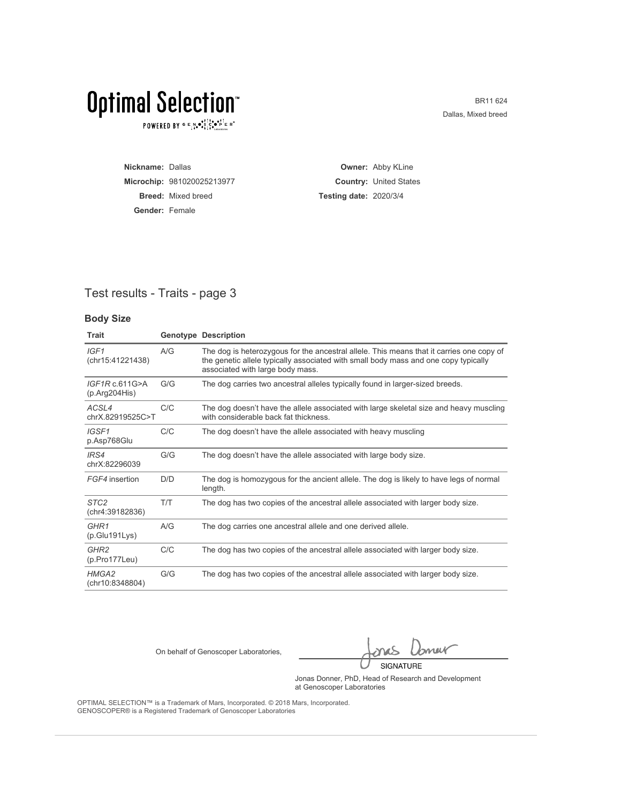$\texttt{POWERED BY} \overset{\text{\tiny{\textsf{GP}}}}{=} \mathbb{E}^{\text{N}}_{\text{14}} \bullet^{\bullet\uparrow\uparrow\uparrow\bullet}_{\text{24}} \mathbb{E}^{\bullet\uparrow\uparrow\bullet}_{\text{24}} \mathbb{E}^{\circ}$ 

BR11 624 Dallas, Mixed breed

| Nickname: Dallas      |                            |                               | <b>Owner: Abby KLine</b>      |
|-----------------------|----------------------------|-------------------------------|-------------------------------|
|                       | Microchip: 981020025213977 |                               | <b>Country: United States</b> |
|                       | <b>Breed:</b> Mixed breed  | <b>Testing date: 2020/3/4</b> |                               |
| <b>Gender: Female</b> |                            |                               |                               |

#### Test results - Traits - page 3

#### **Body Size**

| <b>Trait</b>                             |     | <b>Genotype Description</b>                                                                                                                                                                                         |
|------------------------------------------|-----|---------------------------------------------------------------------------------------------------------------------------------------------------------------------------------------------------------------------|
| IGF1<br>(chr15:41221438)                 | A/G | The dog is heterozygous for the ancestral allele. This means that it carries one copy of<br>the genetic allele typically associated with small body mass and one copy typically<br>associated with large body mass. |
| IGF1R c.611G>A<br>(p.Arg204His)          | G/G | The dog carries two ancestral alleles typically found in larger-sized breeds.                                                                                                                                       |
| ACSL4<br>chrX.82919525C>T                | C/C | The dog doesn't have the allele associated with large skeletal size and heavy muscling<br>with considerable back fat thickness.                                                                                     |
| IGSF1<br>p.Asp768Glu                     | C/C | The dog doesn't have the allele associated with heavy muscling                                                                                                                                                      |
| IRS4<br>chrX:82296039                    | G/G | The dog doesn't have the allele associated with large body size.                                                                                                                                                    |
| FGF4 insertion                           | D/D | The dog is homozygous for the ancient allele. The dog is likely to have legs of normal<br>length.                                                                                                                   |
| STC <sub>2</sub><br>(chr4:39182836)      | T/T | The dog has two copies of the ancestral allele associated with larger body size.                                                                                                                                    |
| GHR <sub>1</sub><br>(p.Glu191Lys)        | A/G | The dog carries one ancestral allele and one derived allele.                                                                                                                                                        |
| GHR <sub>2</sub><br>$(p. Pro177$ Leu $)$ | C/C | The dog has two copies of the ancestral allele associated with larger body size.                                                                                                                                    |
| HMGA2<br>(chr10:8348804)                 | G/G | The dog has two copies of the ancestral allele associated with larger body size.                                                                                                                                    |

On behalf of Genoscoper Laboratories,

bnew SIGNATURE

Jonas Donner, PhD, Head of Research and Development at Genoscoper Laboratories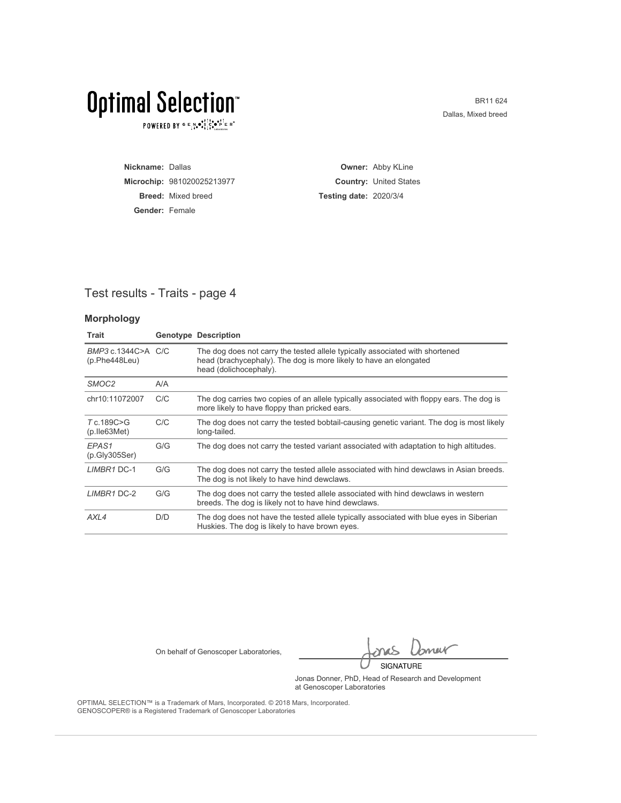$\texttt{POWERED BY} \overset{\text{\tiny{\textsf{GP}}}}{=} \mathbb{E}^{\text{N}}_{\text{14}} \bullet^{\bullet\uparrow\uparrow\uparrow\bullet}_{\text{24}} \mathbb{E}^{\bullet\uparrow\uparrow\bullet}_{\text{24}} \mathbb{E}^{\circ}$ 

BR11 624 Dallas, Mixed breed

| Nickname: Dallas      |                            |                               | <b>Owner: Abby KLine</b>      |
|-----------------------|----------------------------|-------------------------------|-------------------------------|
|                       | Microchip: 981020025213977 |                               | <b>Country: United States</b> |
|                       | <b>Breed:</b> Mixed breed  | <b>Testing date: 2020/3/4</b> |                               |
| <b>Gender: Female</b> |                            |                               |                               |

#### Test results - Traits - page 4

#### **Morphology**

| <b>Trait</b>                         |     | <b>Genotype Description</b>                                                                                                                                                 |
|--------------------------------------|-----|-----------------------------------------------------------------------------------------------------------------------------------------------------------------------------|
| BMP3 c.1344C>A C/C<br>(p.Phe448Leu)  |     | The dog does not carry the tested allele typically associated with shortened<br>head (brachycephaly). The dog is more likely to have an elongated<br>head (dolichocephaly). |
| SMOC <sub>2</sub>                    | A/A |                                                                                                                                                                             |
| chr10:11072007                       | C/C | The dog carries two copies of an allele typically associated with floppy ears. The dog is<br>more likely to have floppy than pricked ears.                                  |
| T c.189C>G<br>$(p.$ lle $63$ Met $)$ | C/C | The dog does not carry the tested bobtail-causing genetic variant. The dog is most likely<br>long-tailed.                                                                   |
| EPAS <sub>1</sub><br>(p.Gly305Ser)   | G/G | The dog does not carry the tested variant associated with adaptation to high altitudes.                                                                                     |
| LIMBR1 DC-1                          | G/G | The dog does not carry the tested allele associated with hind dewclaws in Asian breeds.<br>The dog is not likely to have hind dewclaws.                                     |
| LIMBR1 DC-2                          | G/G | The dog does not carry the tested allele associated with hind dewclaws in western<br>breeds. The dog is likely not to have hind dewclaws.                                   |
| AXL4                                 | D/D | The dog does not have the tested allele typically associated with blue eyes in Siberian<br>Huskies. The dog is likely to have brown eyes.                                   |

On behalf of Genoscoper Laboratories,

bnew SIGNATURE

Jonas Donner, PhD, Head of Research and Development at Genoscoper Laboratories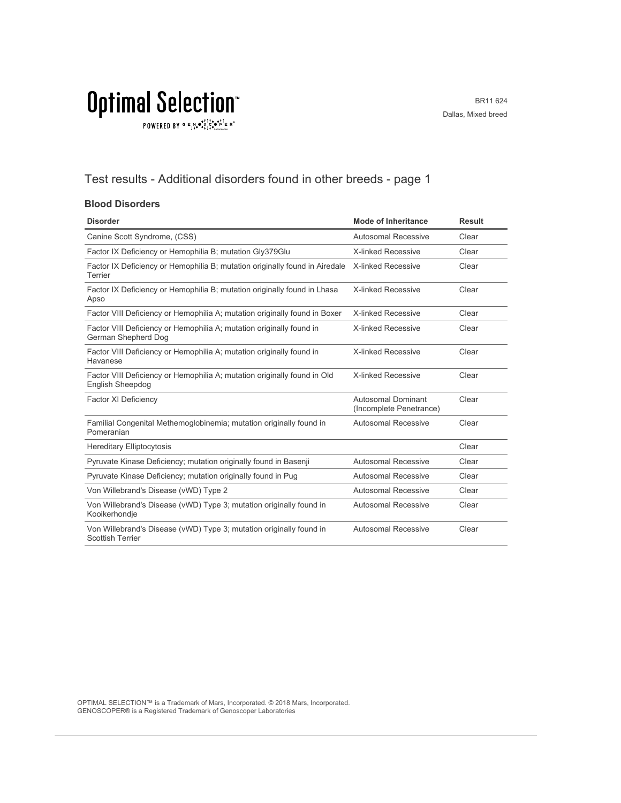BR11 624 Dallas, Mixed breed

### $\texttt{POWERED BY} \overset{\text{\tiny{\textsf{GP}}}}{=} \mathbb{E}^{\text{N}}_{\text{14}} \bullet^{\text{\tiny{\textsf{opt}}}}_{\text{\tiny{\textsf{14}}}} \mathbb{E}^{\bullet\bullet\text{PI}}_{\text{\tiny{\textsf{14}}}} \mathbb{E}^{\circ\text{-P}}$

#### Test results - Additional disorders found in other breeds - page 1

#### **Blood Disorders**

| <b>Disorder</b>                                                                                     | <b>Mode of Inheritance</b>                    | <b>Result</b> |
|-----------------------------------------------------------------------------------------------------|-----------------------------------------------|---------------|
| Canine Scott Syndrome, (CSS)                                                                        | Autosomal Recessive                           | Clear         |
| Factor IX Deficiency or Hemophilia B; mutation Gly379Glu                                            | <b>X-linked Recessive</b>                     | Clear         |
| Factor IX Deficiency or Hemophilia B; mutation originally found in Airedale<br>Terrier              | X-linked Recessive                            | Clear         |
| Factor IX Deficiency or Hemophilia B; mutation originally found in Lhasa<br>Apso                    | <b>X-linked Recessive</b>                     | Clear         |
| Factor VIII Deficiency or Hemophilia A; mutation originally found in Boxer                          | <b>X-linked Recessive</b>                     | Clear         |
| Factor VIII Deficiency or Hemophilia A; mutation originally found in<br>German Shepherd Dog         | X-linked Recessive                            | Clear         |
| Factor VIII Deficiency or Hemophilia A; mutation originally found in<br>Havanese                    | X-linked Recessive                            | Clear         |
| Factor VIII Deficiency or Hemophilia A; mutation originally found in Old<br><b>English Sheepdog</b> | X-linked Recessive                            | Clear         |
| Factor XI Deficiency                                                                                | Autosomal Dominant<br>(Incomplete Penetrance) | Clear         |
| Familial Congenital Methemoglobinemia; mutation originally found in<br>Pomeranian                   | <b>Autosomal Recessive</b>                    | Clear         |
| <b>Hereditary Elliptocytosis</b>                                                                    |                                               | Clear         |
| Pyruvate Kinase Deficiency; mutation originally found in Basenji                                    | <b>Autosomal Recessive</b>                    | Clear         |
| Pyruvate Kinase Deficiency; mutation originally found in Pug                                        | <b>Autosomal Recessive</b>                    | Clear         |
| Von Willebrand's Disease (vWD) Type 2                                                               | Autosomal Recessive                           | Clear         |
| Von Willebrand's Disease (vWD) Type 3; mutation originally found in<br>Kooikerhondje                | Autosomal Recessive                           | Clear         |
| Von Willebrand's Disease (vWD) Type 3; mutation originally found in<br><b>Scottish Terrier</b>      | <b>Autosomal Recessive</b>                    | Clear         |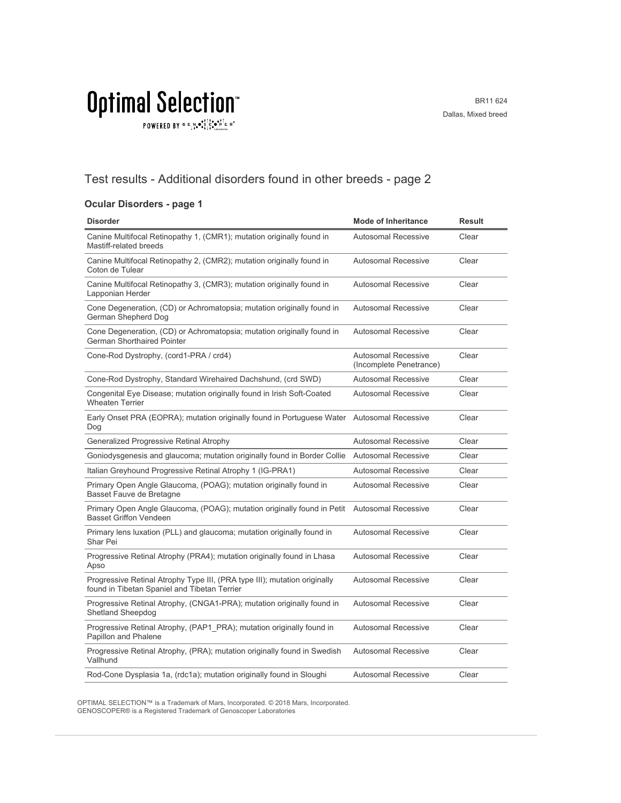$\texttt{POWERED BY} \overset{\text{\tiny{\textsf{GP}}}}{=} \mathbb{E}^{\text{N}}_{\text{14}} \bullet^{\text{\tiny{\textsf{opt}}}}_{\text{\tiny{\textsf{14}}}} \mathbb{E}^{\bullet\bullet\text{PI}}_{\text{\tiny{\textsf{14}}}} \mathbb{E}^{\circ\text{-P}}$ 

#### Test results - Additional disorders found in other breeds - page 2

#### **Ocular Disorders - page 1**

| <b>Disorder</b>                                                                                                           | <b>Mode of Inheritance</b>                            | <b>Result</b> |
|---------------------------------------------------------------------------------------------------------------------------|-------------------------------------------------------|---------------|
| Canine Multifocal Retinopathy 1, (CMR1); mutation originally found in<br>Mastiff-related breeds                           | <b>Autosomal Recessive</b>                            | Clear         |
| Canine Multifocal Retinopathy 2, (CMR2); mutation originally found in<br>Coton de Tulear                                  | <b>Autosomal Recessive</b>                            | Clear         |
| Canine Multifocal Retinopathy 3, (CMR3); mutation originally found in<br>Lapponian Herder                                 | <b>Autosomal Recessive</b>                            | Clear         |
| Cone Degeneration, (CD) or Achromatopsia; mutation originally found in<br>German Shepherd Dog                             | <b>Autosomal Recessive</b>                            | Clear         |
| Cone Degeneration, (CD) or Achromatopsia; mutation originally found in<br>German Shorthaired Pointer                      | <b>Autosomal Recessive</b>                            | Clear         |
| Cone-Rod Dystrophy, (cord1-PRA / crd4)                                                                                    | <b>Autosomal Recessive</b><br>(Incomplete Penetrance) | Clear         |
| Cone-Rod Dystrophy, Standard Wirehaired Dachshund, (crd SWD)                                                              | <b>Autosomal Recessive</b>                            | Clear         |
| Congenital Eye Disease; mutation originally found in Irish Soft-Coated<br><b>Wheaten Terrier</b>                          | <b>Autosomal Recessive</b>                            | Clear         |
| Early Onset PRA (EOPRA); mutation originally found in Portuguese Water Autosomal Recessive<br>Dog                         |                                                       | Clear         |
| Generalized Progressive Retinal Atrophy                                                                                   | Autosomal Recessive                                   | Clear         |
| Goniodysgenesis and glaucoma; mutation originally found in Border Collie                                                  | <b>Autosomal Recessive</b>                            | Clear         |
| Italian Greyhound Progressive Retinal Atrophy 1 (IG-PRA1)                                                                 | <b>Autosomal Recessive</b>                            | Clear         |
| Primary Open Angle Glaucoma, (POAG); mutation originally found in<br>Basset Fauve de Bretagne                             | <b>Autosomal Recessive</b>                            | Clear         |
| Primary Open Angle Glaucoma, (POAG); mutation originally found in Petit<br><b>Basset Griffon Vendeen</b>                  | Autosomal Recessive                                   | Clear         |
| Primary lens luxation (PLL) and glaucoma; mutation originally found in<br>Shar Pei                                        | <b>Autosomal Recessive</b>                            | Clear         |
| Progressive Retinal Atrophy (PRA4); mutation originally found in Lhasa<br>Apso                                            | <b>Autosomal Recessive</b>                            | Clear         |
| Progressive Retinal Atrophy Type III, (PRA type III); mutation originally<br>found in Tibetan Spaniel and Tibetan Terrier | <b>Autosomal Recessive</b>                            | Clear         |
| Progressive Retinal Atrophy, (CNGA1-PRA); mutation originally found in<br><b>Shetland Sheepdog</b>                        | <b>Autosomal Recessive</b>                            | Clear         |
| Progressive Retinal Atrophy, (PAP1 PRA); mutation originally found in<br>Papillon and Phalene                             | <b>Autosomal Recessive</b>                            | Clear         |
| Progressive Retinal Atrophy, (PRA); mutation originally found in Swedish<br>Vallhund                                      | <b>Autosomal Recessive</b>                            | Clear         |
| Rod-Cone Dysplasia 1a, (rdc1a); mutation originally found in Sloughi                                                      | <b>Autosomal Recessive</b>                            | Clear         |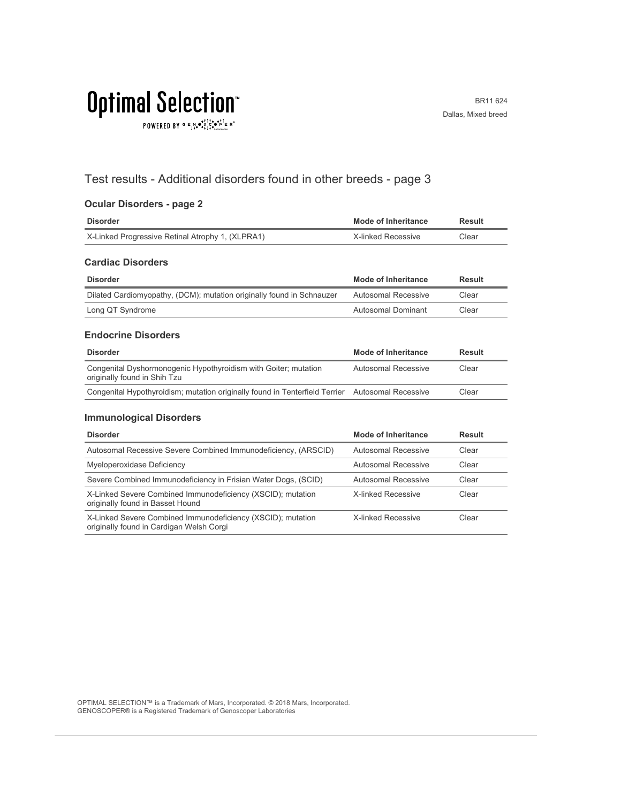$\texttt{POWERED BY} \texttt{G} \xrightarrow{E} \texttt{N} \bullet \texttt{S}^\texttt{t\top} \texttt{C} \bullet \texttt{P}^\texttt{t\top} \texttt{E} \texttt{R}^\circ$ 

#### Test results - Additional disorders found in other breeds - page 3

#### **Ocular Disorders - page 2**

| <b>Disorder</b>                                                                                 | Mode of Inheritance        | <b>Result</b> |
|-------------------------------------------------------------------------------------------------|----------------------------|---------------|
| X-Linked Progressive Retinal Atrophy 1, (XLPRA1)                                                | X-linked Recessive         | Clear         |
| <b>Cardiac Disorders</b>                                                                        |                            |               |
| <b>Disorder</b>                                                                                 | Mode of Inheritance        | Result        |
| Dilated Cardiomyopathy, (DCM); mutation originally found in Schnauzer                           | Autosomal Recessive        | Clear         |
| Long QT Syndrome                                                                                | Autosomal Dominant         | Clear         |
| <b>Endocrine Disorders</b>                                                                      |                            |               |
| <b>Disorder</b>                                                                                 | <b>Mode of Inheritance</b> | Result        |
| Congenital Dyshormonogenic Hypothyroidism with Goiter; mutation<br>originally found in Shih Tzu | <b>Autosomal Recessive</b> | Clear         |

#### **Immunological Disorders**

| <b>Disorder</b>                                                                                         | <b>Mode of Inheritance</b> | <b>Result</b> |
|---------------------------------------------------------------------------------------------------------|----------------------------|---------------|
| Autosomal Recessive Severe Combined Immunodeficiency, (ARSCID)                                          | Autosomal Recessive        | Clear         |
| Myeloperoxidase Deficiency                                                                              | Autosomal Recessive        | Clear         |
| Severe Combined Immunodeficiency in Frisian Water Dogs, (SCID)                                          | Autosomal Recessive        | Clear         |
| X-Linked Severe Combined Immunodeficiency (XSCID); mutation<br>originally found in Basset Hound         | X-linked Recessive         | Clear         |
| X-Linked Severe Combined Immunodeficiency (XSCID); mutation<br>originally found in Cardigan Welsh Corgi | X-linked Recessive         | Clear         |

Congenital Hypothyroidism; mutation originally found in Tenterfield Terrier Autosomal Recessive Clear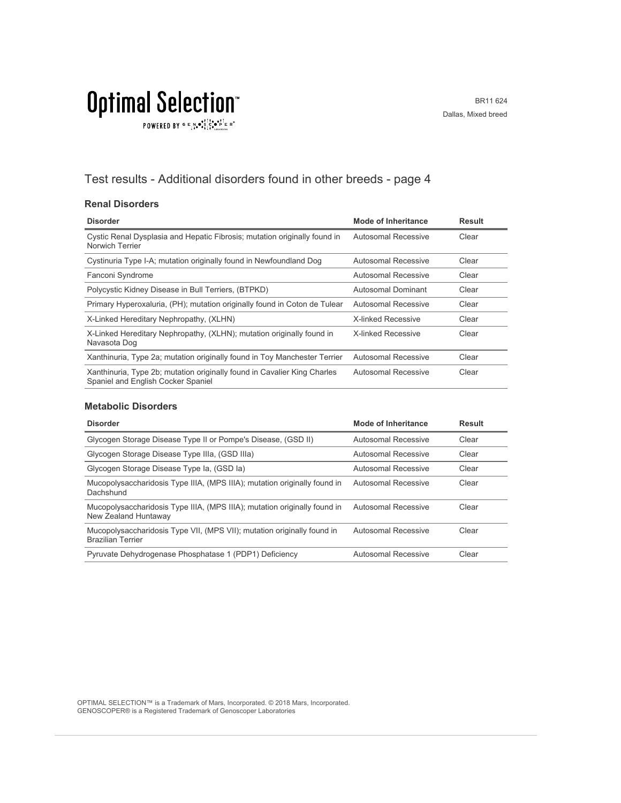$\texttt{POWERED BY} \overset{\text{G}}{=} \underset{\textbf{1}}{\text{N}} \bullet \overset{\text{G}}{\text{S}} \underset{\textbf{1}}{\overset{\text{I}}{\text{I}}}\circ \overset{\text{G}}{\bullet}\overset{\text{F}}{\text{I}} \underset{\text{the becomes}}{\overset{\text{G}}{\text{F}}} \mathbb{R}^\circ$ 

#### Test results - Additional disorders found in other breeds - page 4

#### **Renal Disorders**

| <b>Disorder</b>                                                                                                | Mode of Inheritance       | <b>Result</b> |
|----------------------------------------------------------------------------------------------------------------|---------------------------|---------------|
| Cystic Renal Dysplasia and Hepatic Fibrosis; mutation originally found in<br>Norwich Terrier                   | Autosomal Recessive       | Clear         |
| Cystinuria Type I-A; mutation originally found in Newfoundland Dog                                             | Autosomal Recessive       | Clear         |
| Fanconi Syndrome                                                                                               | Autosomal Recessive       | Clear         |
| Polycystic Kidney Disease in Bull Terriers, (BTPKD)                                                            | Autosomal Dominant        | Clear         |
| Primary Hyperoxaluria, (PH); mutation originally found in Coton de Tulear                                      | Autosomal Recessive       | Clear         |
| X-Linked Hereditary Nephropathy, (XLHN)                                                                        | <b>X-linked Recessive</b> | Clear         |
| X-Linked Hereditary Nephropathy, (XLHN); mutation originally found in<br>Navasota Dog                          | X-linked Recessive        | Clear         |
| Xanthinuria, Type 2a; mutation originally found in Toy Manchester Terrier                                      | Autosomal Recessive       | Clear         |
| Xanthinuria, Type 2b; mutation originally found in Cavalier King Charles<br>Spaniel and English Cocker Spaniel | Autosomal Recessive       | Clear         |

#### **Metabolic Disorders**

| <b>Disorder</b>                                                                                     | Mode of Inheritance | <b>Result</b> |
|-----------------------------------------------------------------------------------------------------|---------------------|---------------|
| Glycogen Storage Disease Type II or Pompe's Disease, (GSD II)                                       | Autosomal Recessive | Clear         |
| Glycogen Storage Disease Type IIIa, (GSD IIIa)                                                      | Autosomal Recessive | Clear         |
| Glycogen Storage Disease Type Ia, (GSD Ia)                                                          | Autosomal Recessive | Clear         |
| Mucopolysaccharidosis Type IIIA, (MPS IIIA); mutation originally found in<br>Dachshund              | Autosomal Recessive | Clear         |
| Mucopolysaccharidosis Type IIIA, (MPS IIIA); mutation originally found in<br>New Zealand Huntaway   | Autosomal Recessive | Clear         |
| Mucopolysaccharidosis Type VII, (MPS VII); mutation originally found in<br><b>Brazilian Terrier</b> | Autosomal Recessive | Clear         |
| Pyruvate Dehydrogenase Phosphatase 1 (PDP1) Deficiency                                              | Autosomal Recessive | Clear         |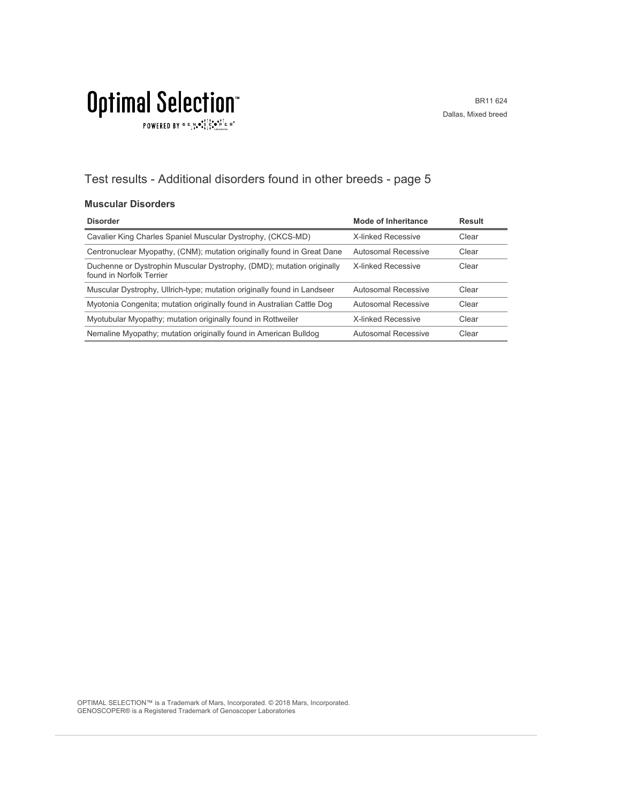### $\texttt{POWERED BY} \overset{\text{\tiny{\textsf{GP}}}}{=} \mathbb{E}^{\text{N}}_{\text{14}} \bullet^{\text{\tiny{\textsf{opt}}}}_{\text{\tiny{\textsf{14}}}} \mathbb{E}^{\bullet\bullet\text{PI}}_{\text{\tiny{\textsf{14}}}} \mathbb{E}^{\circ\text{-P}}$

#### Test results - Additional disorders found in other breeds - page 5

#### **Muscular Disorders**

| <b>Disorder</b>                                                                                   | Mode of Inheritance       | <b>Result</b> |
|---------------------------------------------------------------------------------------------------|---------------------------|---------------|
| Cavalier King Charles Spaniel Muscular Dystrophy, (CKCS-MD)                                       | <b>X-linked Recessive</b> | Clear         |
| Centronuclear Myopathy, (CNM); mutation originally found in Great Dane                            | Autosomal Recessive       | Clear         |
| Duchenne or Dystrophin Muscular Dystrophy, (DMD); mutation originally<br>found in Norfolk Terrier | <b>X-linked Recessive</b> | Clear         |
| Muscular Dystrophy, Ullrich-type; mutation originally found in Landseer                           | Autosomal Recessive       | Clear         |
| Myotonia Congenita; mutation originally found in Australian Cattle Dog                            | Autosomal Recessive       | Clear         |
| Myotubular Myopathy; mutation originally found in Rottweiler                                      | <b>X-linked Recessive</b> | Clear         |
| Nemaline Myopathy; mutation originally found in American Bulldog                                  | Autosomal Recessive       | Clear         |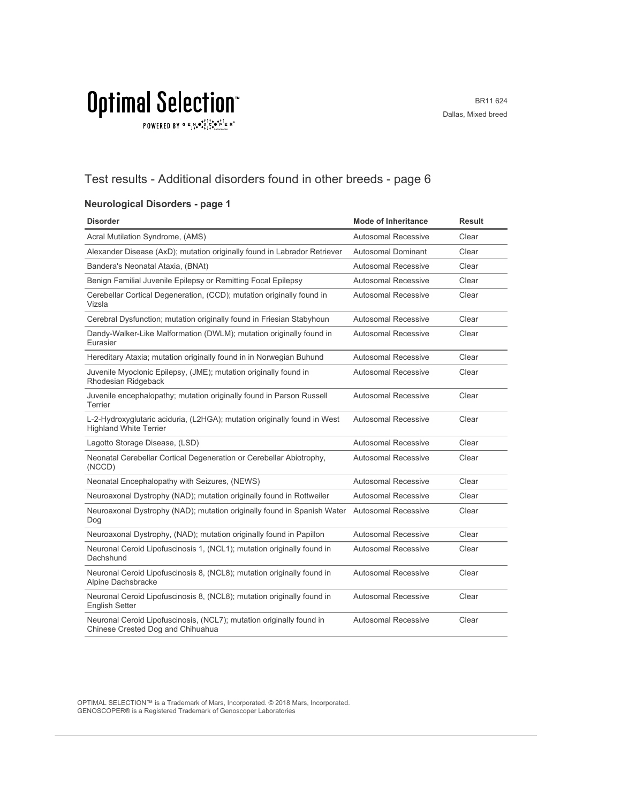$\texttt{POWERED BY} \overset{\text{\tiny{\textsf{GP}}}}{=} \mathbb{E}^{\text{N}}_{\text{14}} \bullet^{\text{\tiny{\textsf{opt}}}}_{\text{\tiny{\textsf{14}}}} \mathbb{E}^{\bullet\bullet\text{PI}}_{\text{\tiny{\textsf{14}}}} \mathbb{E}^{\circ\text{-P}}$ 

#### Test results - Additional disorders found in other breeds - page 6

#### **Neurological Disorders - page 1**

| <b>Disorder</b>                                                                                           | <b>Mode of Inheritance</b> | <b>Result</b> |
|-----------------------------------------------------------------------------------------------------------|----------------------------|---------------|
| Acral Mutilation Syndrome, (AMS)                                                                          | <b>Autosomal Recessive</b> | Clear         |
| Alexander Disease (AxD); mutation originally found in Labrador Retriever                                  | <b>Autosomal Dominant</b>  | Clear         |
| Bandera's Neonatal Ataxia, (BNAt)                                                                         | Autosomal Recessive        | Clear         |
| Benign Familial Juvenile Epilepsy or Remitting Focal Epilepsy                                             | <b>Autosomal Recessive</b> | Clear         |
| Cerebellar Cortical Degeneration, (CCD); mutation originally found in<br>Vizsla                           | Autosomal Recessive        | Clear         |
| Cerebral Dysfunction; mutation originally found in Friesian Stabyhoun                                     | Autosomal Recessive        | Clear         |
| Dandy-Walker-Like Malformation (DWLM); mutation originally found in<br>Eurasier                           | <b>Autosomal Recessive</b> | Clear         |
| Hereditary Ataxia; mutation originally found in in Norwegian Buhund                                       | Autosomal Recessive        | Clear         |
| Juvenile Myoclonic Epilepsy, (JME); mutation originally found in<br>Rhodesian Ridgeback                   | <b>Autosomal Recessive</b> | Clear         |
| Juvenile encephalopathy; mutation originally found in Parson Russell<br>Terrier                           | <b>Autosomal Recessive</b> | Clear         |
| L-2-Hydroxyglutaric aciduria, (L2HGA); mutation originally found in West<br><b>Highland White Terrier</b> | <b>Autosomal Recessive</b> | Clear         |
| Lagotto Storage Disease, (LSD)                                                                            | <b>Autosomal Recessive</b> | Clear         |
| Neonatal Cerebellar Cortical Degeneration or Cerebellar Abiotrophy,<br>(NCCD)                             | <b>Autosomal Recessive</b> | Clear         |
| Neonatal Encephalopathy with Seizures, (NEWS)                                                             | Autosomal Recessive        | Clear         |
| Neuroaxonal Dystrophy (NAD); mutation originally found in Rottweiler                                      | <b>Autosomal Recessive</b> | Clear         |
| Neuroaxonal Dystrophy (NAD); mutation originally found in Spanish Water Autosomal Recessive<br>Dog        |                            | Clear         |
| Neuroaxonal Dystrophy, (NAD); mutation originally found in Papillon                                       | <b>Autosomal Recessive</b> | Clear         |
| Neuronal Ceroid Lipofuscinosis 1, (NCL1); mutation originally found in<br>Dachshund                       | Autosomal Recessive        | Clear         |
| Neuronal Ceroid Lipofuscinosis 8, (NCL8); mutation originally found in<br>Alpine Dachsbracke              | <b>Autosomal Recessive</b> | Clear         |
| Neuronal Ceroid Lipofuscinosis 8, (NCL8); mutation originally found in<br><b>English Setter</b>           | <b>Autosomal Recessive</b> | Clear         |
| Neuronal Ceroid Lipofuscinosis, (NCL7); mutation originally found in<br>Chinese Crested Dog and Chihuahua | Autosomal Recessive        | Clear         |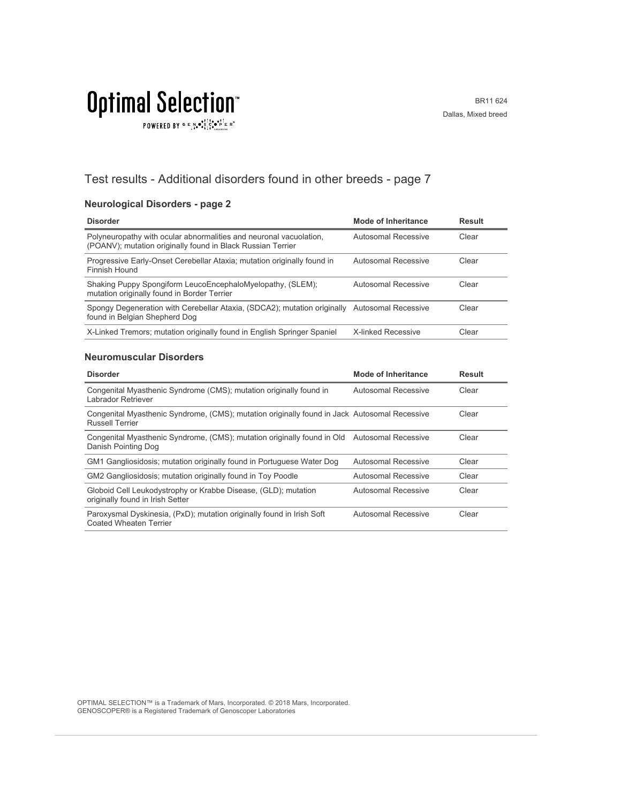$\texttt{POWERED BY} \overset{\text{G}}{=} \underset{\textbf{1}}{\text{N}} \bullet \overset{\text{G}}{\text{S}} \underset{\textbf{1}}{\overset{\text{I}}{\text{I}}}\circ \overset{\text{G}}{\bullet}\overset{\text{F}}{\text{I}} \underset{\text{the becomes}}{\overset{\text{G}}{\text{F}}} \mathbb{R}^\circ$ 

#### Test results - Additional disorders found in other breeds - page 7

#### **Neurological Disorders - page 2**

| <b>Disorder</b>                                                                                                                   | <b>Mode of Inheritance</b> | <b>Result</b> |
|-----------------------------------------------------------------------------------------------------------------------------------|----------------------------|---------------|
| Polyneuropathy with ocular abnormalities and neuronal vacuolation,<br>(POANV); mutation originally found in Black Russian Terrier | Autosomal Recessive        | Clear         |
| Progressive Early-Onset Cerebellar Ataxia; mutation originally found in<br>Finnish Hound                                          | Autosomal Recessive        | Clear         |
| Shaking Puppy Spongiform LeucoEncephaloMyelopathy, (SLEM);<br>mutation originally found in Border Terrier                         | Autosomal Recessive        | Clear         |
| Spongy Degeneration with Cerebellar Ataxia, (SDCA2); mutation originally Autosomal Recessive<br>found in Belgian Shepherd Dog     |                            | Clear         |
| X-Linked Tremors; mutation originally found in English Springer Spaniel                                                           | <b>X-linked Recessive</b>  | Clear         |

#### **Neuromuscular Disorders**

| <b>Disorder</b>                                                                                                        | <b>Mode of Inheritance</b> | <b>Result</b> |
|------------------------------------------------------------------------------------------------------------------------|----------------------------|---------------|
| Congenital Myasthenic Syndrome (CMS); mutation originally found in<br>Labrador Retriever                               | Autosomal Recessive        | Clear         |
| Congenital Myasthenic Syndrome, (CMS); mutation originally found in Jack Autosomal Recessive<br><b>Russell Terrier</b> |                            | Clear         |
| Congenital Myasthenic Syndrome, (CMS); mutation originally found in Old Autosomal Recessive<br>Danish Pointing Dog     |                            | Clear         |
| GM1 Gangliosidosis; mutation originally found in Portuguese Water Dog                                                  | Autosomal Recessive        | Clear         |
| GM2 Gangliosidosis; mutation originally found in Toy Poodle                                                            | Autosomal Recessive        | Clear         |
| Globoid Cell Leukodystrophy or Krabbe Disease, (GLD); mutation<br>originally found in Irish Setter                     | Autosomal Recessive        | Clear         |
| Paroxysmal Dyskinesia, (PxD); mutation originally found in Irish Soft<br>Coated Wheaten Terrier                        | Autosomal Recessive        | Clear         |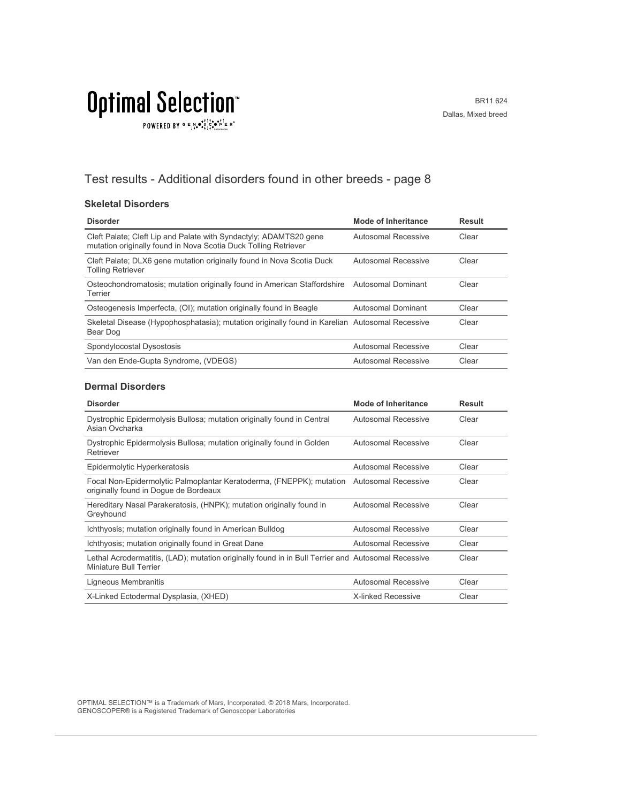$\texttt{POWERED BY} \overset{\text{G}}{=} \underset{\textbf{1}}{\text{N}} \bullet \overset{\text{G}}{\text{S}} \underset{\textbf{1}}{\overset{\text{I}}{\text{I}}}\circ \overset{\text{G}}{\bullet}\overset{\text{F}}{\text{I}} \underset{\text{the becomes}}{\overset{\text{G}}{\text{F}}} \mathbb{R}^\circ$ 

#### Test results - Additional disorders found in other breeds - page 8

#### **Skeletal Disorders**

| <b>Disorder</b>                                                                                                                      | Mode of Inheritance | <b>Result</b> |
|--------------------------------------------------------------------------------------------------------------------------------------|---------------------|---------------|
| Cleft Palate; Cleft Lip and Palate with Syndactyly; ADAMTS20 gene<br>mutation originally found in Nova Scotia Duck Tolling Retriever | Autosomal Recessive | Clear         |
| Cleft Palate; DLX6 gene mutation originally found in Nova Scotia Duck<br><b>Tolling Retriever</b>                                    | Autosomal Recessive | Clear         |
| Osteochondromatosis; mutation originally found in American Staffordshire<br>Terrier                                                  | Autosomal Dominant  | Clear         |
| Osteogenesis Imperfecta, (OI); mutation originally found in Beagle                                                                   | Autosomal Dominant  | Clear         |
| Skeletal Disease (Hypophosphatasia); mutation originally found in Karelian Autosomal Recessive<br>Bear Dog                           |                     | Clear         |
| Spondylocostal Dysostosis                                                                                                            | Autosomal Recessive | Clear         |
| Van den Ende-Gupta Syndrome, (VDEGS)                                                                                                 | Autosomal Recessive | Clear         |

#### **Dermal Disorders**

| <b>Disorder</b>                                                                                                                   | Mode of Inheritance        | <b>Result</b> |
|-----------------------------------------------------------------------------------------------------------------------------------|----------------------------|---------------|
| Dystrophic Epidermolysis Bullosa; mutation originally found in Central<br>Asian Ovcharka                                          | Autosomal Recessive        | Clear         |
| Dystrophic Epidermolysis Bullosa; mutation originally found in Golden<br>Retriever                                                | <b>Autosomal Recessive</b> | Clear         |
| Epidermolytic Hyperkeratosis                                                                                                      | Autosomal Recessive        | Clear         |
| Focal Non-Epidermolytic Palmoplantar Keratoderma, (FNEPPK); mutation Autosomal Recessive<br>originally found in Doque de Bordeaux |                            | Clear         |
| Hereditary Nasal Parakeratosis, (HNPK); mutation originally found in<br>Greyhound                                                 | Autosomal Recessive        | Clear         |
| Ichthyosis; mutation originally found in American Bulldog                                                                         | Autosomal Recessive        | Clear         |
| Ichthyosis; mutation originally found in Great Dane                                                                               | Autosomal Recessive        | Clear         |
| Lethal Acrodermatitis, (LAD); mutation originally found in in Bull Terrier and Autosomal Recessive<br>Miniature Bull Terrier      |                            | Clear         |
| Ligneous Membranitis                                                                                                              | Autosomal Recessive        | Clear         |
| X-Linked Ectodermal Dysplasia, (XHED)                                                                                             | X-linked Recessive         | Clear         |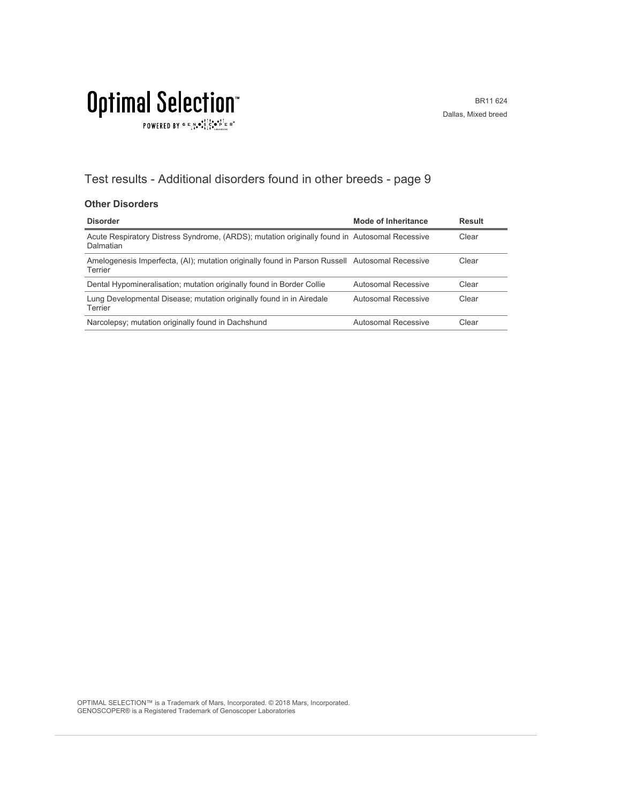### **Optimal Selection**  $\texttt{POWERED BY} \overset{\text{\tiny{\textsf{GP}}}}{=} \mathbb{E}^{\text{N}}_{\text{14}} \bullet^{\text{\tiny{\textsf{opt}}}}_{\text{\tiny{\textsf{14}}}} \mathbb{E}^{\bullet\bullet\text{PI}}_{\text{\tiny{\textsf{14}}}} \mathbb{E}^{\circ\text{-P}}$

#### Test results - Additional disorders found in other breeds - page 9

#### **Other Disorders**

| <b>Disorder</b>                                                                                            | Mode of Inheritance | <b>Result</b> |
|------------------------------------------------------------------------------------------------------------|---------------------|---------------|
| Acute Respiratory Distress Syndrome, (ARDS); mutation originally found in Autosomal Recessive<br>Dalmatian |                     | Clear         |
| Amelogenesis Imperfecta, (AI); mutation originally found in Parson Russell Autosomal Recessive<br>Terrier  |                     | Clear         |
| Dental Hypomineralisation; mutation originally found in Border Collie                                      | Autosomal Recessive | Clear         |
| Lung Developmental Disease; mutation originally found in in Airedale<br>Terrier                            | Autosomal Recessive | Clear         |
| Narcolepsy; mutation originally found in Dachshund                                                         | Autosomal Recessive | Clear         |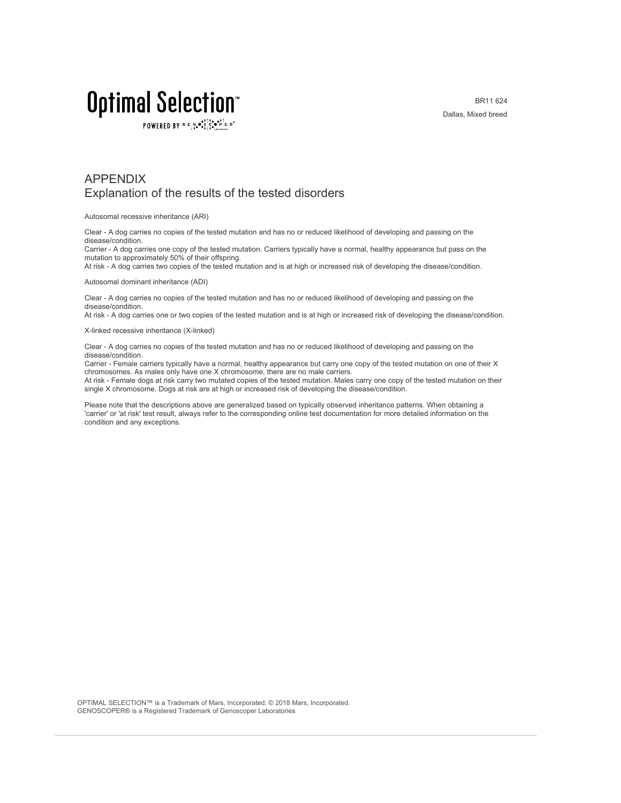POWERED BY  $G \in N_{\bullet} \bullet_{\bullet}^{\dagger} \stackrel{\uparrow}{\circ} \bullet_{\mathbf{P}}^{\dagger} \in R^{\circ}$ 

BR11 624 Dallas, Mixed breed

#### APPENDIX Explanation of the results of the tested disorders

Autosomal recessive inheritance (ARI)

Clear - A dog carries no copies of the tested mutation and has no or reduced likelihood of developing and passing on the disease/condition.

Carrier - A dog carries one copy of the tested mutation. Carriers typically have a normal, healthy appearance but pass on the mutation to approximately 50% of their offspring.

At risk - A dog carries two copies of the tested mutation and is at high or increased risk of developing the disease/condition.

Autosomal dominant inheritance (ADI)

Clear - A dog carries no copies of the tested mutation and has no or reduced likelihood of developing and passing on the disease/condition.

At risk - A dog carries one or two copies of the tested mutation and is at high or increased risk of developing the disease/condition.

X-linked recessive inheritance (X-linked)

Clear - A dog carries no copies of the tested mutation and has no or reduced likelihood of developing and passing on the disease/condition.

Carrier - Female carriers typically have a normal, healthy appearance but carry one copy of the tested mutation on one of their X chromosomes. As males only have one X chromosome, there are no male carriers.

At risk - Female dogs at risk carry two mutated copies of the tested mutation. Males carry one copy of the tested mutation on their single X chromosome. Dogs at risk are at high or increased risk of developing the disease/condition.

Please note that the descriptions above are generalized based on typically observed inheritance patterns. When obtaining a 'carrier' or 'at risk' test result, always refer to the corresponding online test documentation for more detailed information on the condition and any exceptions.